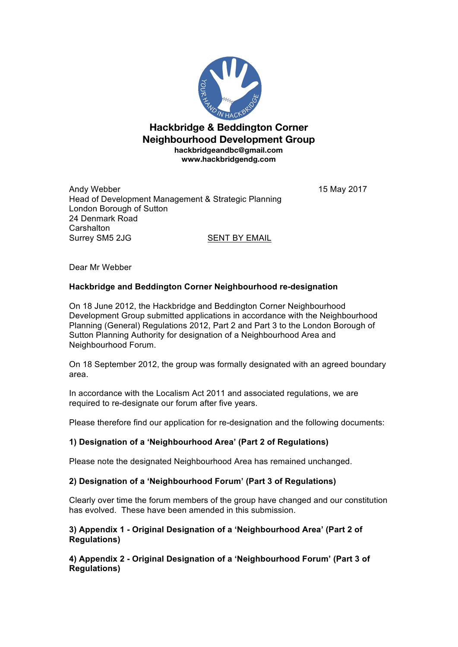

**Hackbridge & Beddington Corner Neighbourhood Development Group hackbridgeandbc@gmail.com www.hackbridgendg.com**

Andy Webber 15 May 2017 Head of Development Management & Strategic Planning London Borough of Sutton 24 Denmark Road **Carshalton** Surrey SM5 2JG SENT BY EMAIL

Dear Mr Webber

## **Hackbridge and Beddington Corner Neighbourhood re-designation**

On 18 June 2012, the Hackbridge and Beddington Corner Neighbourhood Development Group submitted applications in accordance with the Neighbourhood Planning (General) Regulations 2012, Part 2 and Part 3 to the London Borough of Sutton Planning Authority for designation of a Neighbourhood Area and Neighbourhood Forum.

On 18 September 2012, the group was formally designated with an agreed boundary area.

In accordance with the Localism Act 2011 and associated regulations, we are required to re-designate our forum after five years.

Please therefore find our application for re-designation and the following documents:

## **1) Designation of a 'Neighbourhood Area' (Part 2 of Regulations)**

Please note the designated Neighbourhood Area has remained unchanged.

## **2) Designation of a 'Neighbourhood Forum' (Part 3 of Regulations)**

Clearly over time the forum members of the group have changed and our constitution has evolved. These have been amended in this submission.

**3) Appendix 1 - Original Designation of a 'Neighbourhood Area' (Part 2 of Regulations)**

**4) Appendix 2 - Original Designation of a 'Neighbourhood Forum' (Part 3 of Regulations)**